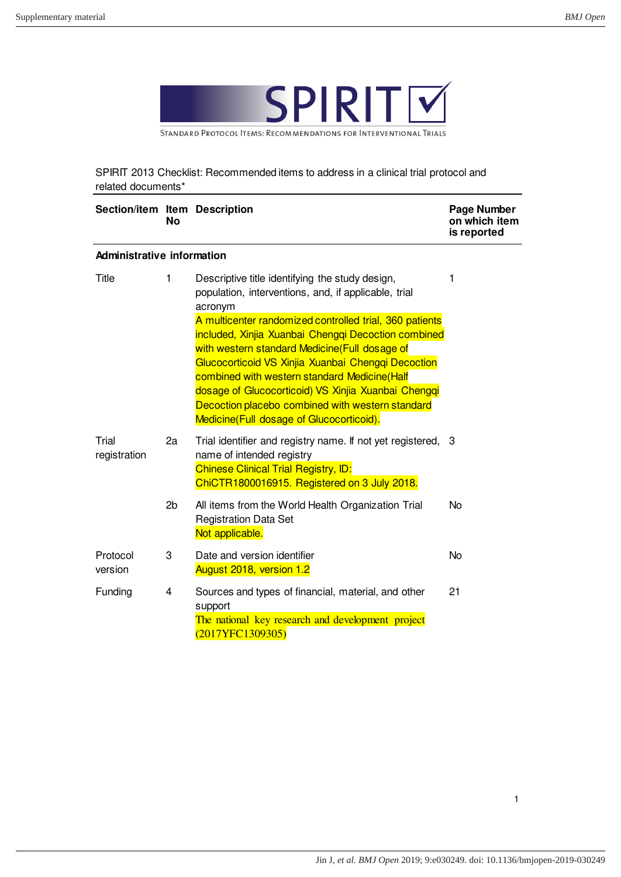

STANDARD PROTOCOL ITEMS: RECOMMENDATIONS FOR INTERVENTIONAL TRIALS

SPIRIT 2013 Checklist: Recommended items to address in a clinical trial protocol and related documents\*

| Section/item Item Description     | No                      |                                                                                                                                                                                                                                                                                                                                                                                                                              | Page Number<br>on which item<br>is reported |
|-----------------------------------|-------------------------|------------------------------------------------------------------------------------------------------------------------------------------------------------------------------------------------------------------------------------------------------------------------------------------------------------------------------------------------------------------------------------------------------------------------------|---------------------------------------------|
| <b>Administrative information</b> |                         |                                                                                                                                                                                                                                                                                                                                                                                                                              |                                             |
| Title                             | 1                       | Descriptive title identifying the study design,<br>population, interventions, and, if applicable, trial<br>acronym                                                                                                                                                                                                                                                                                                           | 1                                           |
|                                   |                         | A multicenter randomized controlled trial, 360 patients<br>included, Xinjia Xuanbai Chengqi Decoction combined<br>with western standard Medicine(Full dosage of<br>Glucocorticoid VS Xinjia Xuanbai Chengqi Decoction<br>combined with western standard Medicine(Half<br>dosage of Glucocorticoid) VS Xinjia Xuanbai Chengqi<br>Decoction placebo combined with western standard<br>Medicine(Full dosage of Glucocorticoid). |                                             |
| Trial<br>registration             | 2a                      | Trial identifier and registry name. If not yet registered, 3<br>name of intended registry<br><b>Chinese Clinical Trial Registry, ID:</b><br>ChiCTR1800016915. Registered on 3 July 2018.                                                                                                                                                                                                                                     |                                             |
|                                   | 2b                      | All items from the World Health Organization Trial<br><b>Registration Data Set</b><br>Not applicable.                                                                                                                                                                                                                                                                                                                        | No                                          |
| Protocol<br>version               | 3                       | Date and version identifier<br>August 2018, version 1.2                                                                                                                                                                                                                                                                                                                                                                      | <b>No</b>                                   |
| Funding                           | $\overline{\mathbf{4}}$ | Sources and types of financial, material, and other<br>support<br>The national key research and development project<br>(2017YFC1309305)                                                                                                                                                                                                                                                                                      | 21                                          |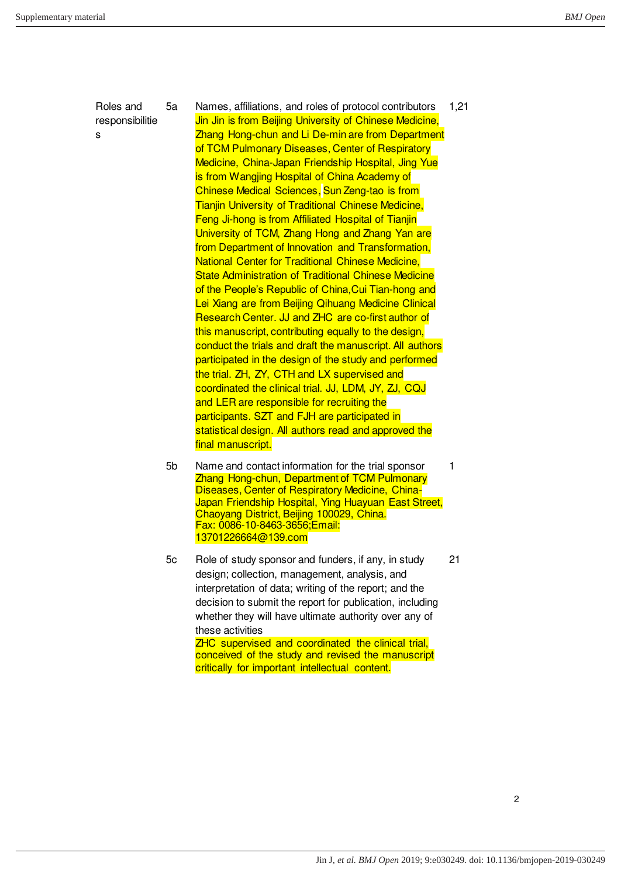Roles and responsibilitie s

5a Names, affiliations, and roles of protocol contributors Jin Jin is from Beijing University of Chinese Medicine, Zhang Hong-chun and Li De-min are from Department of TCM Pulmonary Diseases, Center of Respiratory Medicine, China-Japan Friendship Hospital, Jing Yue is from Wangjing Hospital of China Academy of Chinese Medical Sciences, Sun Zeng-tao is from Tianjin University of Traditional Chinese Medicine, Feng Ji-hong is from Affiliated Hospital of Tianjin University of TCM, Zhang Hong and Zhang Yan are from Department of Innovation and Transformation, National Center for Traditional Chinese Medicine, State Administration of Traditional Chinese Medicine of the People's Republic of China,Cui Tian-hong and Lei Xiang are from Beijing Qihuang Medicine Clinical Research Center. JJ and ZHC are co-first author of this manuscript, contributing equally to the design, conduct the trials and draft the manuscript. All authors participated in the design of the study and performed the trial. ZH, ZY, CTH and LX supervised and coordinated the clinical trial. JJ, LDM, JY, ZJ, CQJ and LER are responsible for recruiting the participants. SZT and FJH are participated in statistical design. All authors read and approved the final manuscript. 1,21

- 5b Name and contact information for the trial sponsor Zhang Hong-chun, Department of TCM Pulmonary Diseases, Center of Respiratory Medicine, China-Japan Friendship Hospital, Ying Huayuan East Street, Chaoyang District, Beijing 100029, China. Fax: 0086-10-8463-3656;Email: 13701226664@139.com
- 5c Role of study sponsor and funders, if any, in study design; collection, management, analysis, and interpretation of data; writing of the report; and the decision to submit the report for publication, including whether they will have ultimate authority over any of these activities ZHC supervised and coordinated the clinical trial, conceived of the study and revised the manuscript critically for important intellectual content.

21

1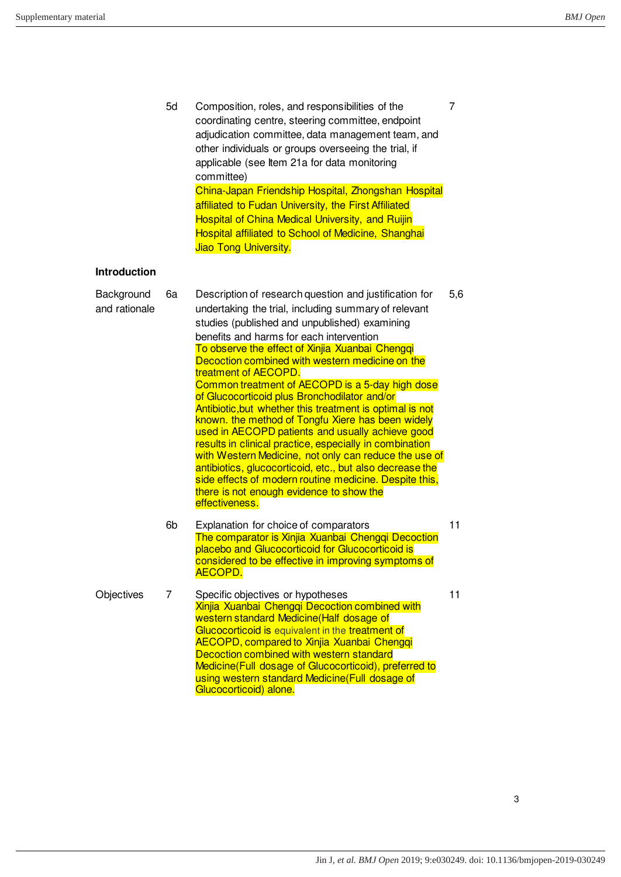| <b>Introduction</b>         | 5d | Composition, roles, and responsibilities of the<br>coordinating centre, steering committee, endpoint<br>adjudication committee, data management team, and<br>other individuals or groups overseeing the trial, if<br>applicable (see Item 21a for data monitoring<br>committee)<br>China-Japan Friendship Hospital, Zhongshan Hospital<br>affiliated to Fudan University, the First Affiliated<br><b>Hospital of China Medical University, and Ruijin</b><br><b>Hospital affiliated to School of Medicine, Shanghai</b><br>Jiao Tong University.                                                                                                                                                                                                                                                                                                                                                                          | 7   |
|-----------------------------|----|---------------------------------------------------------------------------------------------------------------------------------------------------------------------------------------------------------------------------------------------------------------------------------------------------------------------------------------------------------------------------------------------------------------------------------------------------------------------------------------------------------------------------------------------------------------------------------------------------------------------------------------------------------------------------------------------------------------------------------------------------------------------------------------------------------------------------------------------------------------------------------------------------------------------------|-----|
|                             |    |                                                                                                                                                                                                                                                                                                                                                                                                                                                                                                                                                                                                                                                                                                                                                                                                                                                                                                                           |     |
| Background<br>and rationale | 6a | Description of research question and justification for<br>undertaking the trial, including summary of relevant<br>studies (published and unpublished) examining<br>benefits and harms for each intervention<br>To observe the effect of Xinjia Xuanbai Chengqi<br>Decoction combined with western medicine on the<br>treatment of AECOPD.<br>Common treatment of AECOPD is a 5-day high dose<br>of Glucocorticoid plus Bronchodilator and/or<br>Antibiotic, but whether this treatment is optimal is not<br>known, the method of Tongfu Xiere has been widely<br>used in AECOPD patients and usually achieve good<br>results in clinical practice, especially in combination<br>with Western Medicine, not only can reduce the use of<br>antibiotics, glucocorticoid, etc., but also decrease the<br>side effects of modern routine medicine. Despite this,<br>there is not enough evidence to show the<br>effectiveness. | 5,6 |
|                             | 6b | Explanation for choice of comparators<br>The comparator is Xinjia Xuanbai Chenggi Decoction<br>placebo and Glucocorticoid for Glucocorticoid is<br>considered to be effective in improving symptoms of<br>AECOPD.                                                                                                                                                                                                                                                                                                                                                                                                                                                                                                                                                                                                                                                                                                         | 11  |
| Objectives                  | 7  | Specific objectives or hypotheses<br><b>Xinjia Xuanbai Chenggi Decoction combined with</b><br>western standard Medicine(Half dosage of<br>Glucocorticoid is equivalent in the treatment of<br><b>AECOPD, compared to Xinjia Xuanbai Chengqi</b><br>Decoction combined with western standard<br>Medicine(Full dosage of Glucocorticoid), preferred to<br>using western standard Medicine (Full dosage of<br>Glucocorticoid) alone.                                                                                                                                                                                                                                                                                                                                                                                                                                                                                         | 11  |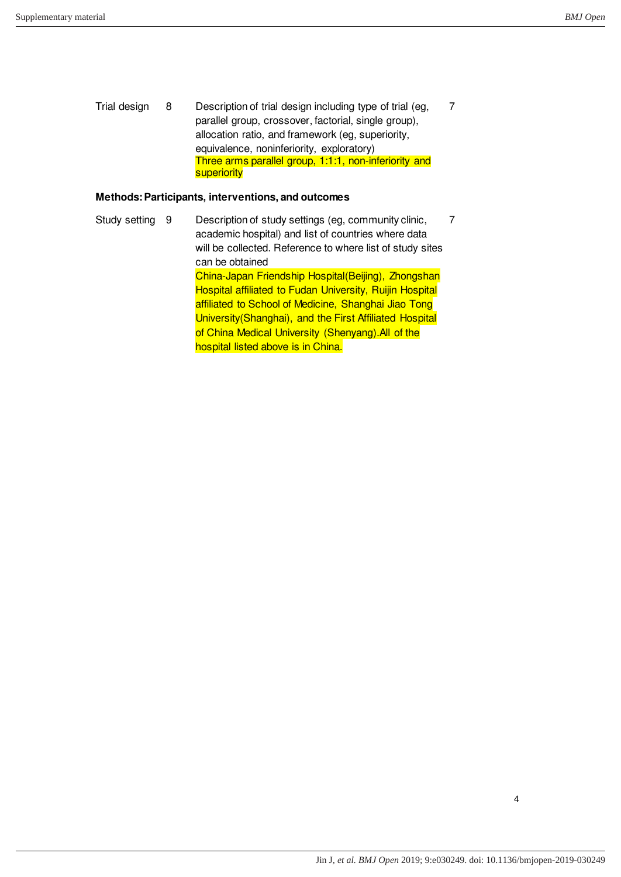7

Trial design 8 Description of trial design including type of trial (eg, parallel group, crossover, factorial, single group), allocation ratio, and framework (eg, superiority, equivalence, noninferiority, exploratory) Three arms parallel group, 1:1:1, non-inferiority and **superiority** 

## **Methods: Participants, interventions, and outcomes**

Study setting 9 Description of study settings (eg, community clinic, academic hospital) and list of countries where data will be collected. Reference to where list of study sites can be obtained China-Japan Friendship Hospital(Beijing), Zhongshan Hospital affiliated to Fudan University, Ruijin Hospital affiliated to School of Medicine, Shanghai Jiao Tong University(Shanghai), and the First Affiliated Hospital of China Medical University (Shenyang). All of the hospital listed above is in China. 7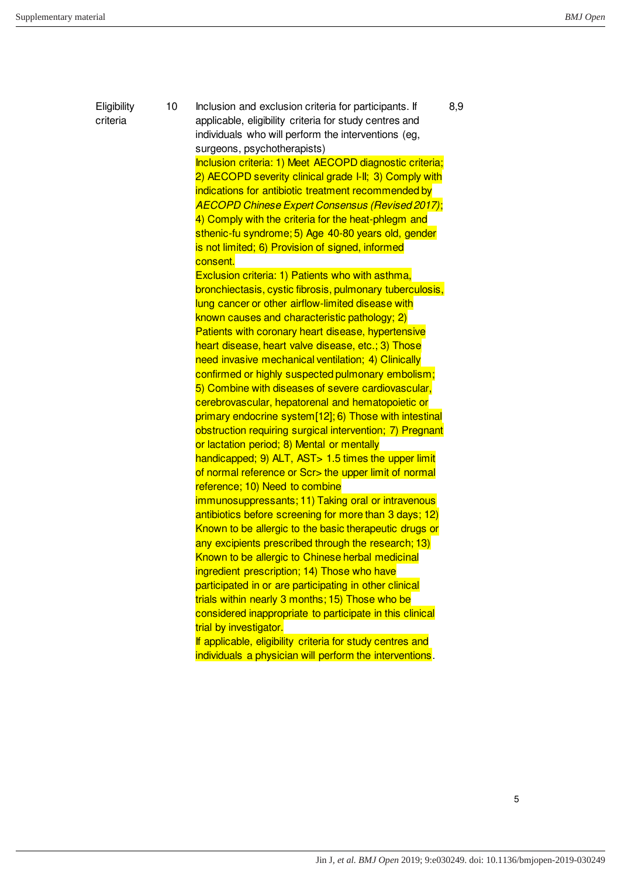**Eligibility** criteria 10 Inclusion and exclusion criteria for participants. If applicable, eligibility criteria for study centres and individuals who will perform the interventions (eg, surgeons, psychotherapists) Inclusion criteria: 1) Meet AECOPD diagnostic criteria; 2) AECOPD severity clinical grade I-II; 3) Comply with indications for antibiotic treatment recommended by *AECOPD Chinese Expert Consensus (Revised 2017)*; 4) Comply with the criteria for the heat-phlegm and sthenic-fu syndrome; 5) Age 40-80 years old, gender is not limited; 6) Provision of signed, informed consent. Exclusion criteria: 1) Patients who with asthma, bronchiectasis, cystic fibrosis, pulmonary tuberculosis, lung cancer or other airflow-limited disease with known causes and characteristic pathology; 2) Patients with coronary heart disease, hypertensive heart disease, heart valve disease, etc.; 3) Those need invasive mechanical ventilation; 4) Clinically confirmed or highly suspected pulmonary embolism; 5) Combine with diseases of severe cardiovascular, cerebrovascular, hepatorenal and hematopoietic or primary endocrine system[12]; 6) Those with intestinal obstruction requiring surgical intervention; 7) Pregnant or lactation period; 8) Mental or mentally handicapped; 9) ALT, AST > 1.5 times the upper limit of normal reference or Scr> the upper limit of normal reference; 10) Need to combine immunosuppressants; 11) Taking oral or intravenous antibiotics before screening for more than 3 days; 12) Known to be allergic to the basic therapeutic drugs or any excipients prescribed through the research; 13) Known to be allergic to Chinese herbal medicinal ingredient prescription; 14) Those who have participated in or are participating in other clinical trials within nearly 3 months; 15) Those who be considered inappropriate to participate in this clinical trial by investigator. If applicable, eligibility criteria for study centres and individuals a physician will perform the interventions. 8,9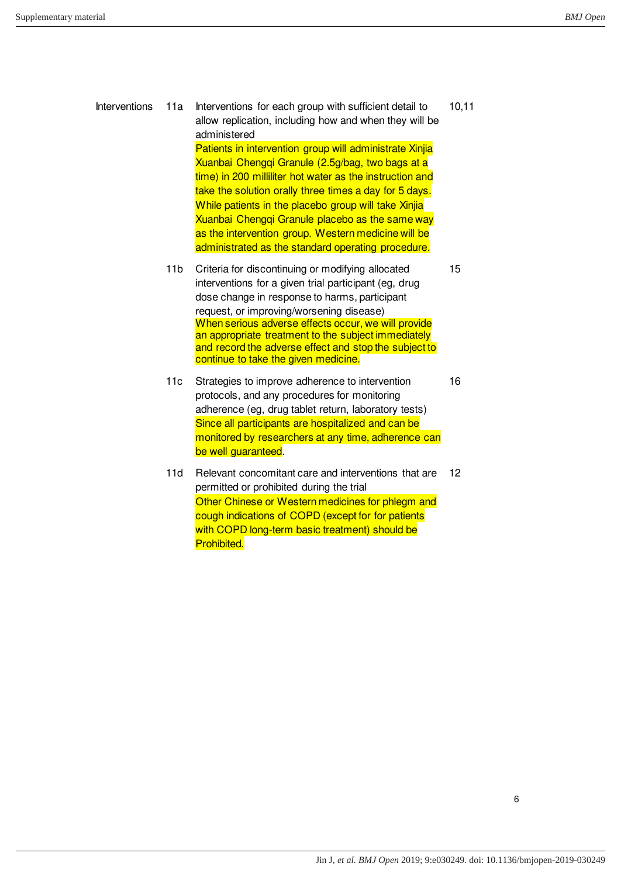| Interventions | 11a | Interventions for each group with sufficient detail to<br>allow replication, including how and when they will be<br>administered                                                                                                                                                                                                                                                                                                                          | 10, 11 |
|---------------|-----|-----------------------------------------------------------------------------------------------------------------------------------------------------------------------------------------------------------------------------------------------------------------------------------------------------------------------------------------------------------------------------------------------------------------------------------------------------------|--------|
|               |     | Patients in intervention group will administrate Xinjia<br>Xuanbai Chenggi Granule (2.5g/bag, two bags at a<br>time) in 200 milliliter hot water as the instruction and<br>take the solution orally three times a day for 5 days.<br>While patients in the placebo group will take Xinjia<br>Xuanbai Chenggi Granule placebo as the same way<br>as the intervention group. Western medicine will be<br>administrated as the standard operating procedure. |        |
|               | 11b | Criteria for discontinuing or modifying allocated<br>interventions for a given trial participant (eg. drug<br>dose change in response to harms, participant<br>request, or improving/worsening disease)<br>When serious adverse effects occur, we will provide<br>an appropriate treatment to the subject immediately<br>and record the adverse effect and stop the subject to<br>continue to take the given medicine.                                    | 15     |

- 11c Strategies to improve adherence to intervention protocols, and any procedures for monitoring adherence (eg, drug tablet return, laboratory tests) Since all participants are hospitalized and can be monitored by researchers at any time, adherence can be well guaranteed. 16
- 11d Relevant concomitant care and interventions that are permitted or prohibited during the trial Other Chinese or Western medicines for phlegm and cough indications of COPD (except for for patients with COPD long-term basic treatment) should be Prohibited. 12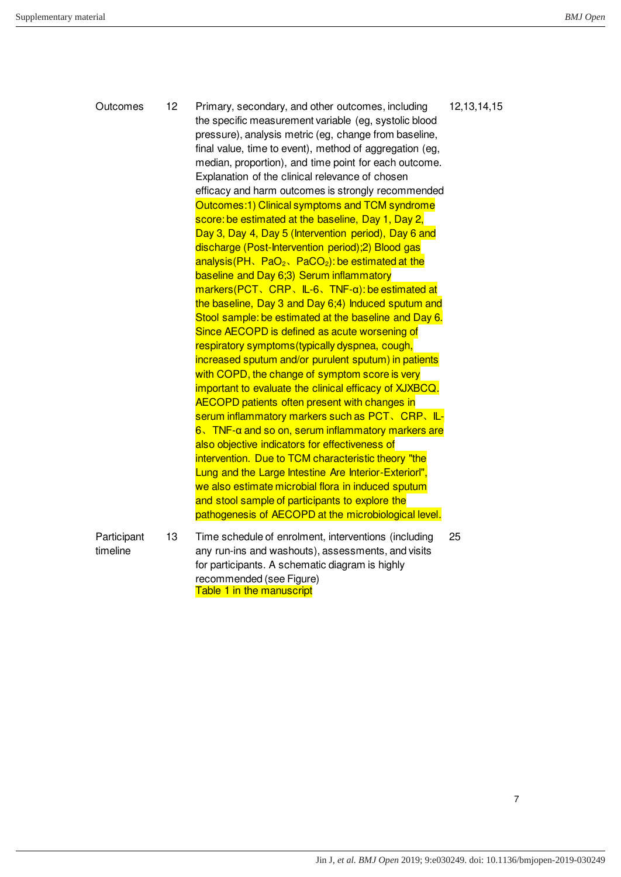| Outcomes                | 12 | Primary, secondary, and other outcomes, including<br>the specific measurement variable (eg, systolic blood<br>pressure), analysis metric (eg, change from baseline,<br>final value, time to event), method of aggregation (eg,<br>median, proportion), and time point for each outcome.<br>Explanation of the clinical relevance of chosen<br>efficacy and harm outcomes is strongly recommended<br>Outcomes:1) Clinical symptoms and TCM syndrome<br>score: be estimated at the baseline, Day 1, Day 2,<br>Day 3, Day 4, Day 5 (Intervention period), Day 6 and<br>discharge (Post-Intervention period); 2) Blood gas<br>analysis (PH, $PaO2$ , PaCO <sub>2</sub> ): be estimated at the<br>baseline and Day 6;3) Serum inflammatory<br>$maxkers(PCT, CRP, IL-6, TNF-\alpha): be estimated at$<br>the baseline, Day 3 and Day 6;4) Induced sputum and<br>Stool sample: be estimated at the baseline and Day 6.<br>Since AECOPD is defined as acute worsening of<br>respiratory symptoms (typically dyspnea, cough,<br>increased sputum and/or purulent sputum) in patients<br>with COPD, the change of symptom score is very<br>important to evaluate the clinical efficacy of XJXBCQ.<br><b>AECOPD patients often present with changes in</b><br>serum inflammatory markers such as PCT, CRP, IL-<br>$6\sqrt{N}$ TNF- $\alpha$ and so on, serum inflammatory markers are<br>also objective indicators for effectiveness of<br>intervention. Due to TCM characteristic theory "the<br>Lung and the Large Intestine Are Interior-Exteriorl",<br>we also estimate microbial flora in induced sputum<br>and stool sample of participants to explore the<br>pathogenesis of AECOPD at the microbiological level. | 12, 13, 14, 15 |
|-------------------------|----|---------------------------------------------------------------------------------------------------------------------------------------------------------------------------------------------------------------------------------------------------------------------------------------------------------------------------------------------------------------------------------------------------------------------------------------------------------------------------------------------------------------------------------------------------------------------------------------------------------------------------------------------------------------------------------------------------------------------------------------------------------------------------------------------------------------------------------------------------------------------------------------------------------------------------------------------------------------------------------------------------------------------------------------------------------------------------------------------------------------------------------------------------------------------------------------------------------------------------------------------------------------------------------------------------------------------------------------------------------------------------------------------------------------------------------------------------------------------------------------------------------------------------------------------------------------------------------------------------------------------------------------------------------------------------------------------------------------|----------------|
| Participant<br>timeline | 13 | Time schedule of enrolment, interventions (including<br>any run-ins and washouts), assessments, and visits<br>for participants. A schematic diagram is highly<br>recommended (see Figure)<br>Table 1 in the manuscript                                                                                                                                                                                                                                                                                                                                                                                                                                                                                                                                                                                                                                                                                                                                                                                                                                                                                                                                                                                                                                                                                                                                                                                                                                                                                                                                                                                                                                                                                        | 25             |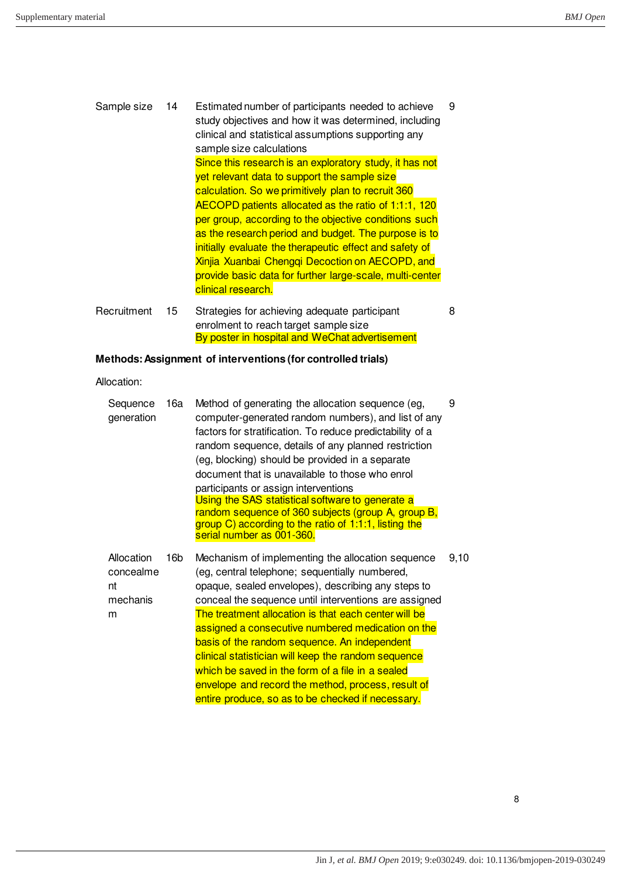| Sample size | 14 | Estimated number of participants needed to achieve<br>study objectives and how it was determined, including<br>clinical and statistical assumptions supporting any<br>sample size calculations                                                                                                                                                                                                                                                                                                                                         | 9 |
|-------------|----|----------------------------------------------------------------------------------------------------------------------------------------------------------------------------------------------------------------------------------------------------------------------------------------------------------------------------------------------------------------------------------------------------------------------------------------------------------------------------------------------------------------------------------------|---|
|             |    | Since this research is an exploratory study, it has not<br>yet relevant data to support the sample size<br>calculation. So we primitively plan to recruit 360<br>AECOPD patients allocated as the ratio of 1:1:1, 120<br>per group, according to the objective conditions such<br>as the research period and budget. The purpose is to<br>initially evaluate the therapeutic effect and safety of<br>Xinjia Xuanbai Chengqi Decoction on AECOPD, and<br>provide basic data for further large-scale, multi-center<br>clinical research. |   |
| Recruitment | 15 | Strategies for achieving adequate participant<br>enrolment to reach target sample size<br>By poster in hospital and WeChat advertisement                                                                                                                                                                                                                                                                                                                                                                                               | 8 |

## **Methods: Assignment of interventions (for controlled trials)**

Allocation:

| Sequence<br>generation                         | 16a | Method of generating the allocation sequence (eg,<br>computer-generated random numbers), and list of any<br>factors for stratification. To reduce predictability of a<br>random sequence, details of any planned restriction<br>(eg, blocking) should be provided in a separate<br>document that is unavailable to those who enrol<br>participants or assign interventions<br>Using the SAS statistical software to generate a<br>random sequence of 360 subjects (group A, group B,<br>group C) according to the ratio of 1:1:1, listing the<br>serial number as 001-360.                            | 9    |
|------------------------------------------------|-----|-------------------------------------------------------------------------------------------------------------------------------------------------------------------------------------------------------------------------------------------------------------------------------------------------------------------------------------------------------------------------------------------------------------------------------------------------------------------------------------------------------------------------------------------------------------------------------------------------------|------|
| Allocation<br>concealme<br>nt<br>mechanis<br>m | 16b | Mechanism of implementing the allocation sequence<br>(eg, central telephone; sequentially numbered,<br>opaque, sealed envelopes), describing any steps to<br>conceal the sequence until interventions are assigned<br>The treatment allocation is that each center will be<br>assigned a consecutive numbered medication on the<br>basis of the random sequence. An independent<br>clinical statistician will keep the random sequence<br>which be saved in the form of a file in a sealed<br>envelope and record the method, process, result of<br>entire produce, so as to be checked if necessary. | 9,10 |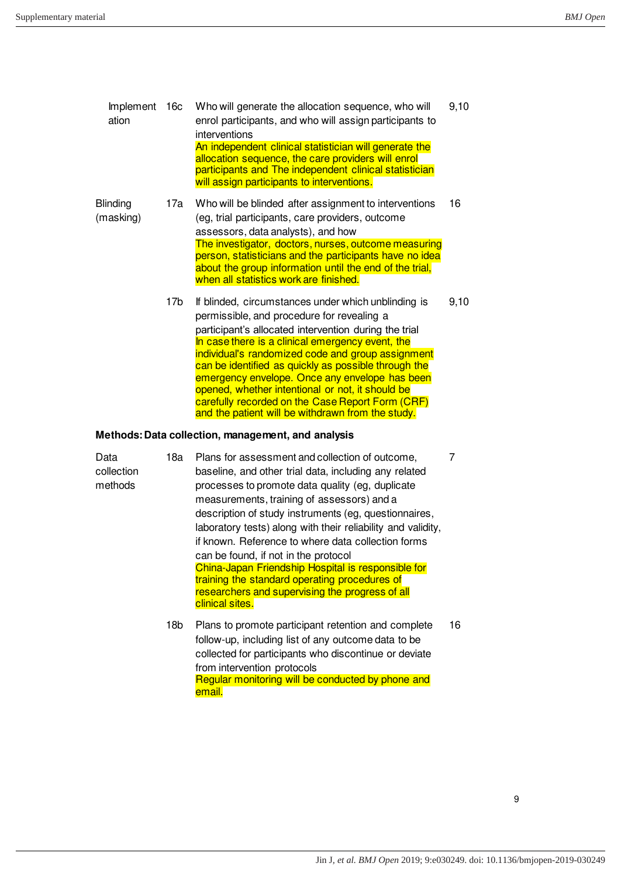| Implement<br>ation           | 16c | Who will generate the allocation sequence, who will<br>enrol participants, and who will assign participants to<br>interventions<br>An independent clinical statistician will generate the<br>allocation sequence, the care providers will enrol<br>participants and The independent clinical statistician<br>will assign participants to interventions.                                                                                                                                                                                    | 9,10 |
|------------------------------|-----|--------------------------------------------------------------------------------------------------------------------------------------------------------------------------------------------------------------------------------------------------------------------------------------------------------------------------------------------------------------------------------------------------------------------------------------------------------------------------------------------------------------------------------------------|------|
| <b>Blinding</b><br>(masking) | 17a | Who will be blinded after assignment to interventions<br>(eg, trial participants, care providers, outcome<br>assessors, data analysts), and how<br>The investigator, doctors, nurses, outcome measuring<br>person, statisticians and the participants have no idea<br>about the group information until the end of the trial,<br>when all statistics work are finished.                                                                                                                                                                    | 16   |
|                              | 17b | If blinded, circumstances under which unblinding is<br>permissible, and procedure for revealing a<br>participant's allocated intervention during the trial<br>In case there is a clinical emergency event, the<br>individual's randomized code and group assignment<br>can be identified as quickly as possible through the<br>emergency envelope. Once any envelope has been<br>opened, whether intentional or not, it should be<br>carefully recorded on the Case Report Form (CRF)<br>and the patient will be withdrawn from the study. | 9,10 |

## **Methods: Data collection, management, and analysis**

| Data<br>collection<br>methods | 18a | Plans for assessment and collection of outcome,<br>baseline, and other trial data, including any related<br>processes to promote data quality (eg, duplicate<br>measurements, training of assessors) and a<br>description of study instruments (eg, questionnaires,<br>laboratory tests) along with their reliability and validity,<br>if known. Reference to where data collection forms<br>can be found, if not in the protocol<br>China-Japan Friendship Hospital is responsible for<br>training the standard operating procedures of<br>researchers and supervising the progress of all<br>clinical sites. |    |
|-------------------------------|-----|----------------------------------------------------------------------------------------------------------------------------------------------------------------------------------------------------------------------------------------------------------------------------------------------------------------------------------------------------------------------------------------------------------------------------------------------------------------------------------------------------------------------------------------------------------------------------------------------------------------|----|
|                               | 18b | Plans to promote participant retention and complete<br>follow-up, including list of any outcome data to be<br>collected for participants who discontinue or deviate                                                                                                                                                                                                                                                                                                                                                                                                                                            | 16 |

collected for participants who discontinue or deviate from intervention protocols Regular monitoring will be conducted by phone and email.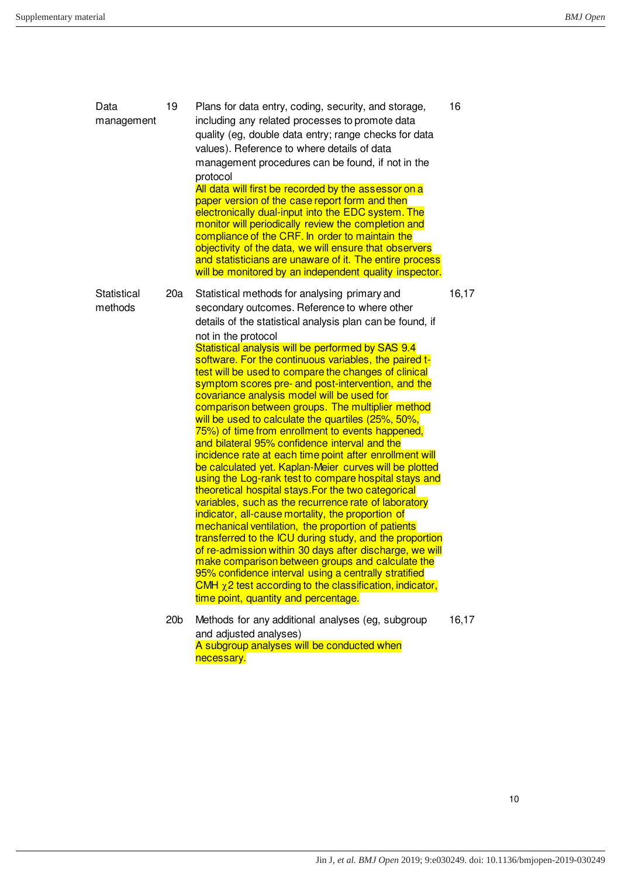| Data<br>management     | 19              | Plans for data entry, coding, security, and storage,<br>including any related processes to promote data<br>quality (eg, double data entry; range checks for data<br>values). Reference to where details of data<br>management procedures can be found, if not in the<br>protocol<br>All data will first be recorded by the assessor on a<br>paper version of the case report form and then<br>electronically dual-input into the EDC system. The<br>monitor will periodically review the completion and<br>compliance of the CRF. In order to maintain the<br>objectivity of the data, we will ensure that observers<br>and statisticians are unaware of it. The entire process<br>will be monitored by an independent quality inspector.                                                                                                                                                                                                                                                                                                                                                                                                                                                                                                                                                                                                                                                                                     | 16    |
|------------------------|-----------------|-------------------------------------------------------------------------------------------------------------------------------------------------------------------------------------------------------------------------------------------------------------------------------------------------------------------------------------------------------------------------------------------------------------------------------------------------------------------------------------------------------------------------------------------------------------------------------------------------------------------------------------------------------------------------------------------------------------------------------------------------------------------------------------------------------------------------------------------------------------------------------------------------------------------------------------------------------------------------------------------------------------------------------------------------------------------------------------------------------------------------------------------------------------------------------------------------------------------------------------------------------------------------------------------------------------------------------------------------------------------------------------------------------------------------------|-------|
| Statistical<br>methods | 20a             | Statistical methods for analysing primary and<br>secondary outcomes. Reference to where other<br>details of the statistical analysis plan can be found, if<br>not in the protocol<br>Statistical analysis will be performed by SAS 9.4<br>software. For the continuous variables, the paired t-<br>test will be used to compare the changes of clinical<br>symptom scores pre- and post-intervention, and the<br>covariance analysis model will be used for<br>comparison between groups. The multiplier method<br>will be used to calculate the quartiles (25%, 50%,<br>75%) of time from enrollment to events happened,<br>and bilateral 95% confidence interval and the<br>incidence rate at each time point after enrollment will<br>be calculated yet. Kaplan-Meier curves will be plotted<br>using the Log-rank test to compare hospital stays and<br>theoretical hospital stays. For the two categorical<br>variables, such as the recurrence rate of laboratory<br>indicator, all-cause mortality, the proportion of<br>mechanical ventilation, the proportion of patients<br>transferred to the ICU during study, and the proportion<br>of re-admission within 30 days after discharge, we will<br>make comparison between groups and calculate the<br>95% confidence interval using a centrally stratified<br>CMH $\chi$ 2 test according to the classification, indicator,<br>time point, quantity and percentage. | 16,17 |
|                        | 20 <sub>b</sub> | Methods for any additional analyses (eg, subgroup<br>and adjusted analyses)<br>A subgroup analyses will be conducted when<br>necessary.                                                                                                                                                                                                                                                                                                                                                                                                                                                                                                                                                                                                                                                                                                                                                                                                                                                                                                                                                                                                                                                                                                                                                                                                                                                                                       | 16,17 |

10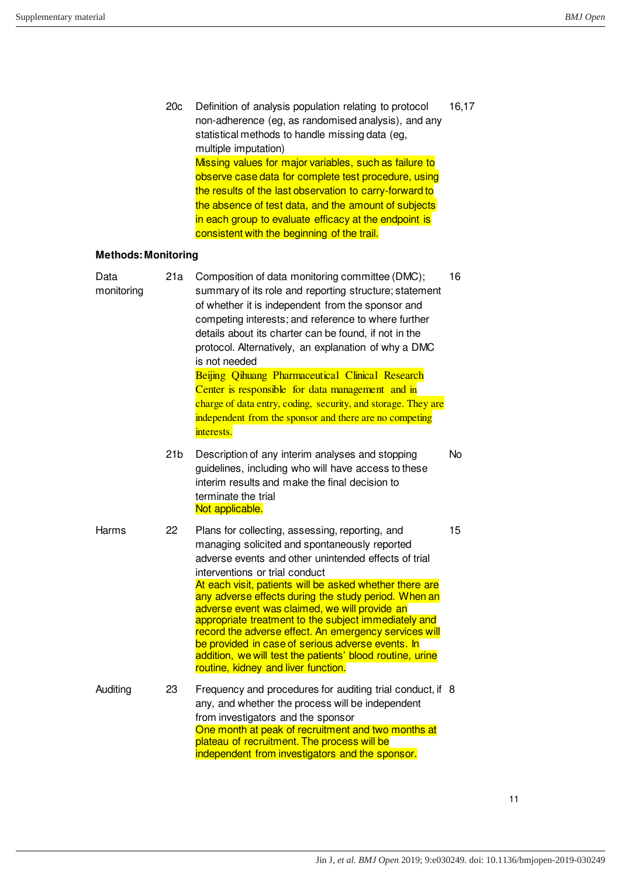|                            | 20 <sub>c</sub> | Definition of analysis population relating to protocol<br>non-adherence (eg, as randomised analysis), and any<br>statistical methods to handle missing data (eg,<br>multiple imputation)<br>Missing values for major variables, such as failure to<br>observe case data for complete test procedure, using<br>the results of the last observation to carry-forward to<br>the absence of test data, and the amount of subjects<br>in each group to evaluate efficacy at the endpoint is<br>consistent with the beginning of the trail.                                                                                                    | 16,17 |
|----------------------------|-----------------|------------------------------------------------------------------------------------------------------------------------------------------------------------------------------------------------------------------------------------------------------------------------------------------------------------------------------------------------------------------------------------------------------------------------------------------------------------------------------------------------------------------------------------------------------------------------------------------------------------------------------------------|-------|
| <b>Methods: Monitoring</b> |                 |                                                                                                                                                                                                                                                                                                                                                                                                                                                                                                                                                                                                                                          |       |
| Data<br>monitoring         | 21a             | Composition of data monitoring committee (DMC);<br>summary of its role and reporting structure; statement<br>of whether it is independent from the sponsor and<br>competing interests; and reference to where further<br>details about its charter can be found, if not in the<br>protocol. Alternatively, an explanation of why a DMC<br>is not needed<br>Beijing Qihuang Pharmaceutical Clinical Research                                                                                                                                                                                                                              | 16    |
|                            |                 | Center is responsible for data management and in<br>charge of data entry, coding, security, and storage. They are<br>independent from the sponsor and there are no competing<br>interests.                                                                                                                                                                                                                                                                                                                                                                                                                                               |       |
|                            | 21 <sub>b</sub> | Description of any interim analyses and stopping<br>guidelines, including who will have access to these<br>interim results and make the final decision to<br>terminate the trial<br>Not applicable.                                                                                                                                                                                                                                                                                                                                                                                                                                      | No    |
| Harms                      | 22              | Plans for collecting, assessing, reporting, and<br>managing solicited and spontaneously reported<br>adverse events and other unintended effects of trial<br>interventions or trial conduct<br>At each visit, patients will be asked whether there are<br>any adverse effects during the study period. When an<br>adverse event was claimed, we will provide an<br>appropriate treatment to the subject immediately and<br>record the adverse effect. An emergency services will<br>be provided in case of serious adverse events. In<br>addition, we will test the patients' blood routine, urine<br>routine, kidney and liver function. | 15    |
| Auditing                   | 23              | Frequency and procedures for auditing trial conduct, if 8<br>any, and whether the process will be independent<br>from investigators and the sponsor<br>One month at peak of recruitment and two months at<br>plateau of recruitment. The process will be<br>independent from investigators and the sponsor.                                                                                                                                                                                                                                                                                                                              |       |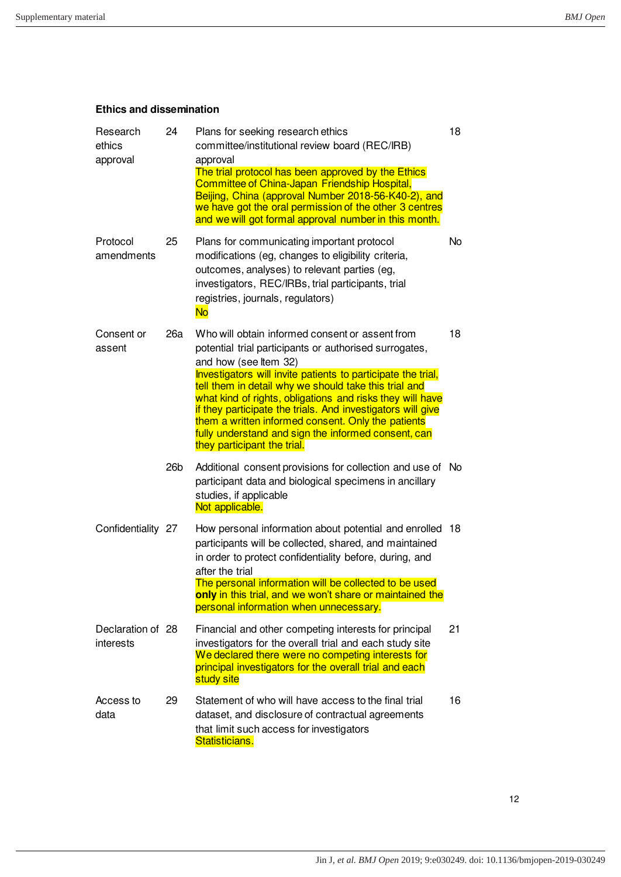## **Ethics and dissemination**

| Research<br>ethics<br>approval | 24              | Plans for seeking research ethics<br>committee/institutional review board (REC/IRB)<br>approval<br>The trial protocol has been approved by the Ethics<br>Committee of China-Japan Friendship Hospital,<br>Beijing, China (approval Number 2018-56-K40-2), and<br>we have got the oral permission of the other 3 centres<br>and we will got formal approval number in this month.                                                                                                                                                    | 18 |
|--------------------------------|-----------------|-------------------------------------------------------------------------------------------------------------------------------------------------------------------------------------------------------------------------------------------------------------------------------------------------------------------------------------------------------------------------------------------------------------------------------------------------------------------------------------------------------------------------------------|----|
| Protocol<br>amendments         | 25              | Plans for communicating important protocol<br>modifications (eg, changes to eligibility criteria,<br>outcomes, analyses) to relevant parties (eg,<br>investigators, REC/IRBs, trial participants, trial<br>registries, journals, regulators)<br><b>No</b>                                                                                                                                                                                                                                                                           | No |
| Consent or<br>assent           | 26a             | Who will obtain informed consent or assent from<br>potential trial participants or authorised surrogates,<br>and how (see Item 32)<br>Investigators will invite patients to participate the trial,<br>tell them in detail why we should take this trial and<br>what kind of rights, obligations and risks they will have<br>if they participate the trials. And investigators will give<br>them a written informed consent. Only the patients<br>fully understand and sign the informed consent, can<br>they participant the trial. | 18 |
|                                | 26 <sub>b</sub> | Additional consent provisions for collection and use of No<br>participant data and biological specimens in ancillary<br>studies, if applicable<br>Not applicable.                                                                                                                                                                                                                                                                                                                                                                   |    |
| Confidentiality 27             |                 | How personal information about potential and enrolled<br>participants will be collected, shared, and maintained<br>in order to protect confidentiality before, during, and<br>after the trial<br>The personal information will be collected to be used<br>only in this trial, and we won't share or maintained the<br>personal information when unnecessary.                                                                                                                                                                        | 18 |
| Declaration of 28<br>interests |                 | Financial and other competing interests for principal<br>investigators for the overall trial and each study site<br>We declared there were no competing interests for<br>principal investigators for the overall trial and each<br>study site                                                                                                                                                                                                                                                                                       | 21 |
| Access to<br>data              | 29              | Statement of who will have access to the final trial<br>dataset, and disclosure of contractual agreements<br>that limit such access for investigators<br>Statisticians.                                                                                                                                                                                                                                                                                                                                                             | 16 |